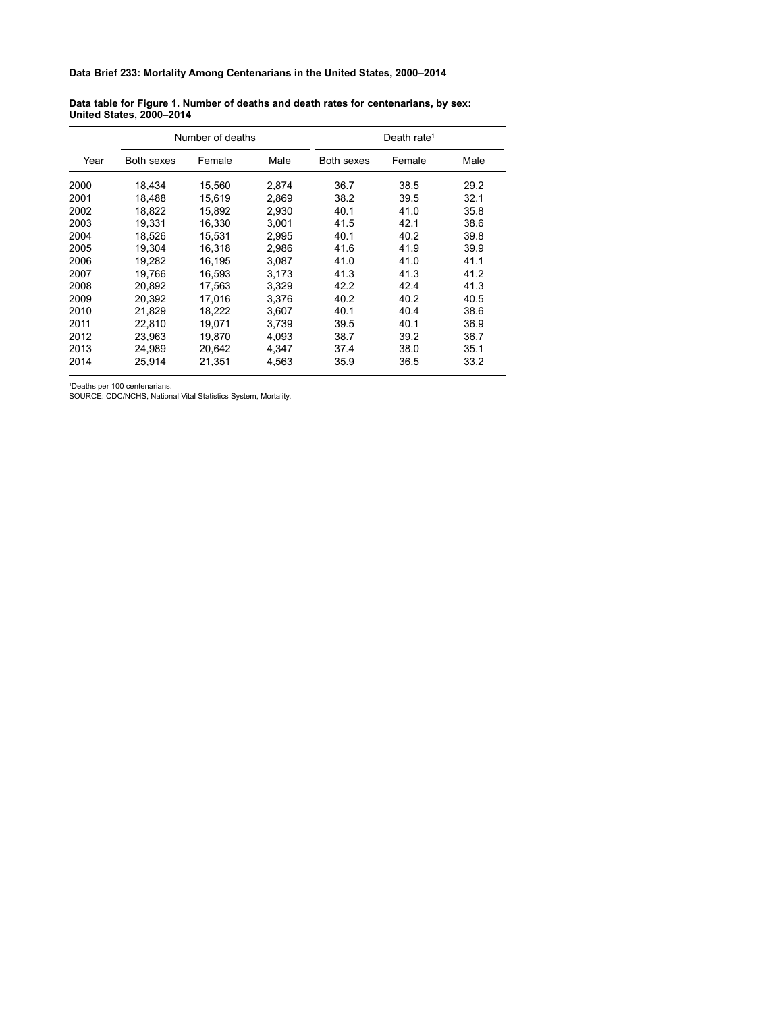## **Data Brief 233: Mortality Among Centenarians in the United States, 2000–2014**

## **Data table for Figure 1. Number of deaths and death rates for centenarians, by sex: United States, 2000–2014**

| Year | Number of deaths |        |       | Death rate <sup>1</sup> |        |      |
|------|------------------|--------|-------|-------------------------|--------|------|
|      | Both sexes       | Female | Male  | Both sexes              | Female | Male |
| 2000 | 18,434           | 15,560 | 2,874 | 36.7                    | 38.5   | 29.2 |
| 2001 | 18.488           | 15.619 | 2,869 | 38.2                    | 39.5   | 32.1 |
| 2002 | 18,822           | 15,892 | 2,930 | 40.1                    | 41.0   | 35.8 |
| 2003 | 19,331           | 16,330 | 3,001 | 41.5                    | 42.1   | 38.6 |
| 2004 | 18.526           | 15.531 | 2,995 | 40.1                    | 40.2   | 39.8 |
| 2005 | 19.304           | 16,318 | 2,986 | 41.6                    | 41.9   | 39.9 |
| 2006 | 19.282           | 16.195 | 3.087 | 41.0                    | 41.0   | 41.1 |
| 2007 | 19.766           | 16.593 | 3.173 | 41.3                    | 41.3   | 41.2 |
| 2008 | 20,892           | 17.563 | 3,329 | 42.2                    | 42.4   | 41.3 |
| 2009 | 20.392           | 17.016 | 3,376 | 40.2                    | 40.2   | 40.5 |
| 2010 | 21,829           | 18,222 | 3,607 | 40.1                    | 40.4   | 38.6 |
| 2011 | 22,810           | 19,071 | 3,739 | 39.5                    | 40.1   | 36.9 |
| 2012 | 23.963           | 19.870 | 4,093 | 38.7                    | 39.2   | 36.7 |
| 2013 | 24.989           | 20.642 | 4,347 | 37.4                    | 38.0   | 35.1 |
| 2014 | 25,914           | 21,351 | 4,563 | 35.9                    | 36.5   | 33.2 |
|      |                  |        |       |                         |        |      |

Deaths per 100 centenarians.

SOURCE: CDC/NCHS, National Vital Statistics System, Mortality.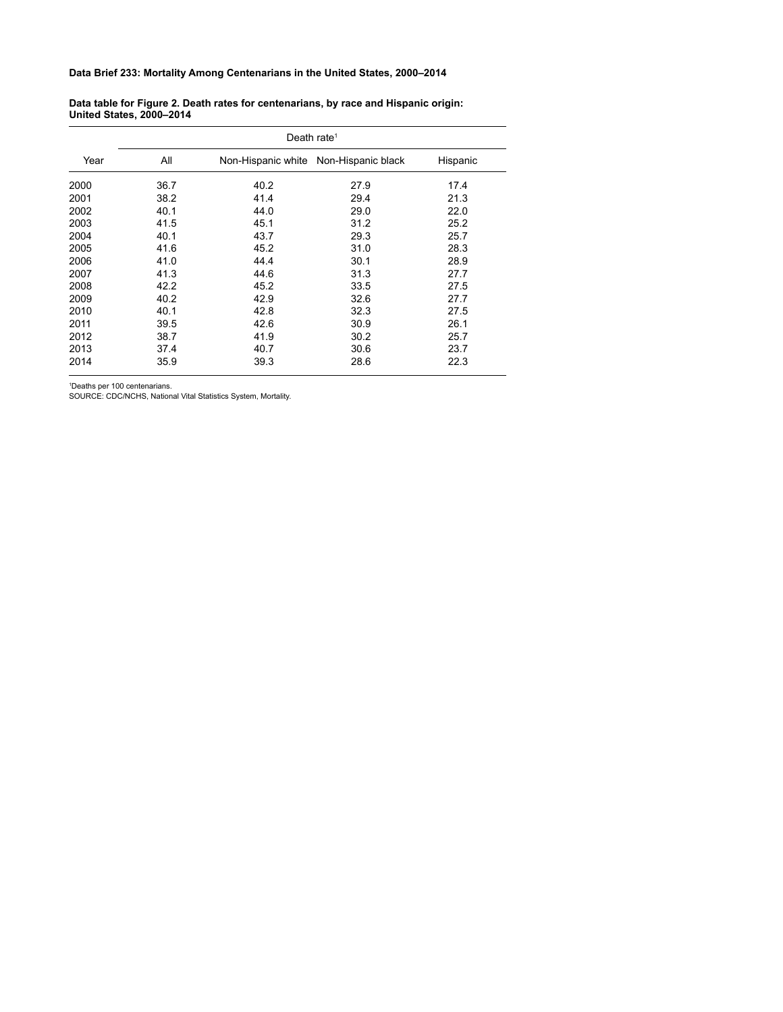## **Data Brief 233: Mortality Among Centenarians in the United States, 2000–2014**

| Data table for Figure 2. Death rates for centenarians, by race and Hispanic origin: |  |
|-------------------------------------------------------------------------------------|--|
| <b>United States, 2000-2014</b>                                                     |  |

|      | Death rate <sup>1</sup> |      |                                       |          |  |
|------|-------------------------|------|---------------------------------------|----------|--|
| Year | All                     |      | Non-Hispanic white Non-Hispanic black | Hispanic |  |
| 2000 | 36.7                    | 40.2 | 27.9                                  | 17.4     |  |
| 2001 | 38.2                    | 41.4 | 29.4                                  | 21.3     |  |
| 2002 | 40.1                    | 44.0 | 29.0                                  | 22.0     |  |
| 2003 | 41.5                    | 45.1 | 31.2                                  | 25.2     |  |
| 2004 | 40.1                    | 43.7 | 29.3                                  | 25.7     |  |
| 2005 | 41.6                    | 45.2 | 31.0                                  | 28.3     |  |
| 2006 | 41.0                    | 44.4 | 30.1                                  | 28.9     |  |
| 2007 | 41.3                    | 44.6 | 31.3                                  | 27.7     |  |
| 2008 | 42.2                    | 45.2 | 33.5                                  | 27.5     |  |
| 2009 | 40.2                    | 42.9 | 32.6                                  | 27.7     |  |
| 2010 | 40.1                    | 42.8 | 32.3                                  | 27.5     |  |
| 2011 | 39.5                    | 42.6 | 30.9                                  | 26.1     |  |
| 2012 | 38.7                    | 41.9 | 30.2                                  | 25.7     |  |
| 2013 | 37.4                    | 40.7 | 30.6                                  | 23.7     |  |
| 2014 | 35.9                    | 39.3 | 28.6                                  | 22.3     |  |

Deaths per 100 centenarians.

SOURCE: CDC/NCHS, National Vital Statistics System, Mortality.